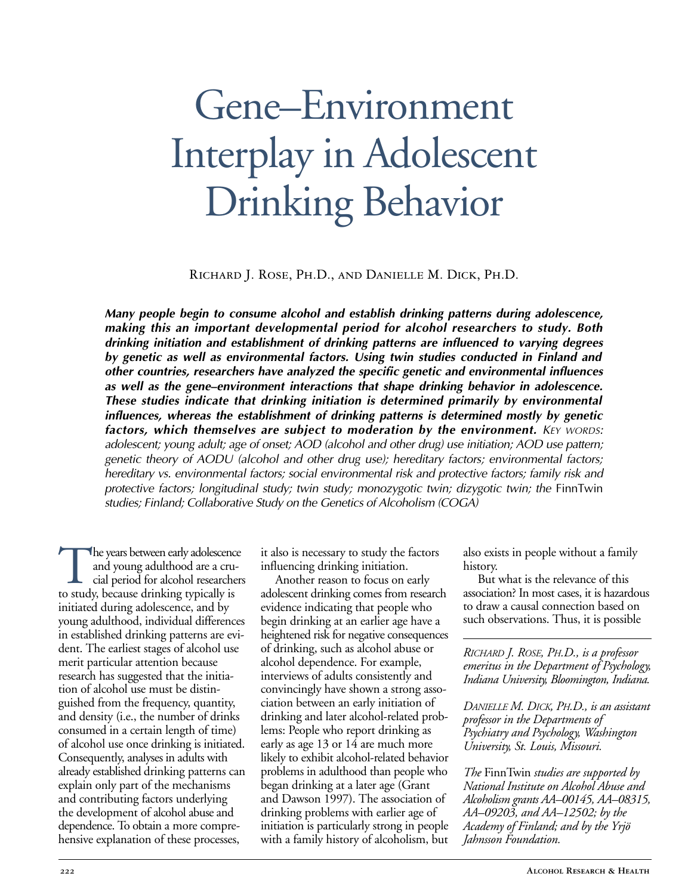# Gene–Environment Interplay in Adolescent Drinking Behavior

Richard J. Rose, Ph.D., and Danielle M. Dick, Ph.D.

*Many people begin to consume alcohol and establish drinking patterns during adolescence, making this an important developmental period for alcohol researchers to study. Both drinking initiation and establishment of drinking patterns are influenced to varying degrees by genetic as well as environmental factors. Using twin studies conducted in Finland and other countries, researchers have analyzed the specific genetic and environmental influences as well as the gene–environment interactions that shape drinking behavior in adolescence. These studies indicate that drinking initiation is determined primarily by environmental influences, whereas the establishment of drinking patterns is determined mostly by genetic factors, which themselves are subject to moderation by the environment. KEY WORDS: adolescent; young adult; age of onset; AOD (alcohol and other drug) use initiation; AOD use pattern; genetic theory of AODU (alcohol and other drug use); hereditary factors; environmental factors; hereditary vs. environmental factors; social environmental risk and protective factors; family risk and protective factors; longitudinal study; twin study; monozygotic twin; dizygotic twin; the FinnTwin studies; Finland; Collaborative Study on the Genetics of Alcoholism (COGA)*

The years between early adolescence<br>and young adulthood are a cru-<br>cial period for alcohol researcher<br>to study, because drinking typically is and young adulthood are a crucial period for alcohol researchers to study, because drinking typically is initiated during adolescence, and by young adulthood, individual differences in established drinking patterns are evident. The earliest stages of alcohol use merit particular attention because research has suggested that the initiation of alcohol use must be distinguished from the frequency, quantity, and density (i.e., the number of drinks consumed in a certain length of time) of alcohol use once drinking is initiated. Consequently, analyses in adults with already established drinking patterns can explain only part of the mechanisms and contributing factors underlying the development of alcohol abuse and dependence. To obtain a more comprehensive explanation of these processes,

it also is necessary to study the factors influencing drinking initiation.

Another reason to focus on early adolescent drinking comes from research evidence indicating that people who begin drinking at an earlier age have a heightened risk for negative consequences of drinking, such as alcohol abuse or alcohol dependence. For example, interviews of adults consistently and convincingly have shown a strong association between an early initiation of drinking and later alcohol-related problems: People who report drinking as early as age 13 or 14 are much more likely to exhibit alcohol-related behavior problems in adulthood than people who began drinking at a later age (Grant and Dawson 1997). The association of drinking problems with earlier age of initiation is particularly strong in people with a family history of alcoholism, but

also exists in people without a family history.

But what is the relevance of this association? In most cases, it is hazardous to draw a causal connection based on such observations. Thus, it is possible

*RICHARD J. ROSE, PH.D., is a professor emeritus in the Department of Psychology, Indiana University, Bloomington, Indiana.*

*DANIELLE M. DICK, PH.D., is an assistant professor in the Departments of Psychiatry and Psychology, Washington University, St. Louis, Missouri.* 

*The* FinnTwin *studies are supported by National Institute on Alcohol Abuse and Alcoholism grants AA–00145, AA–08315, AA–09203, and AA–12502; by the Academy of Finland; and by the Yrjö Jahnsson Foundation.*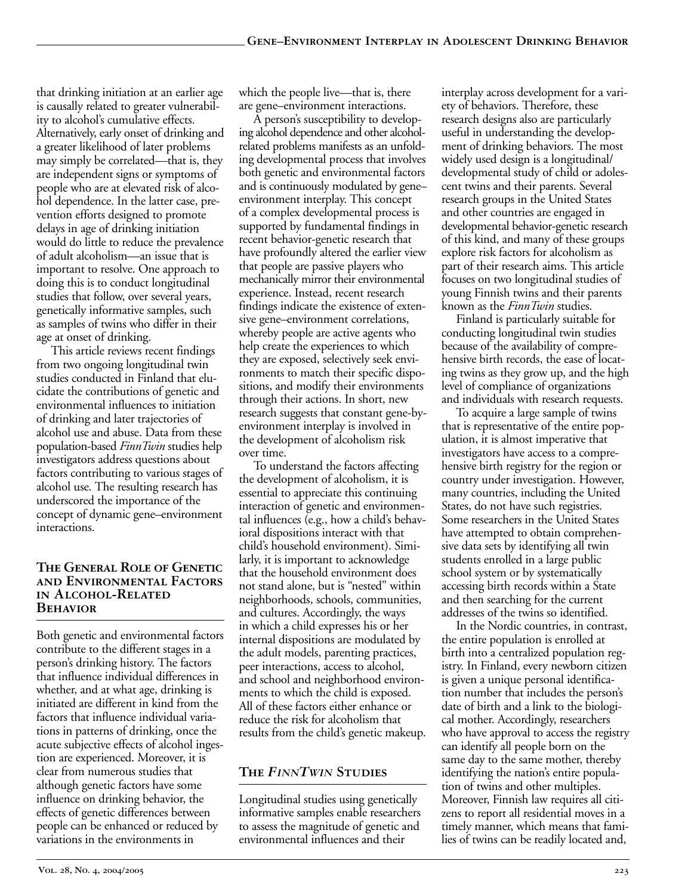that drinking initiation at an earlier age is causally related to greater vulnerability to alcohol's cumulative effects. Alternatively, early onset of drinking and a greater likelihood of later problems may simply be correlated—that is, they are independent signs or symptoms of people who are at elevated risk of alcohol dependence. In the latter case, prevention efforts designed to promote delays in age of drinking initiation would do little to reduce the prevalence of adult alcoholism—an issue that is important to resolve. One approach to doing this is to conduct longitudinal studies that follow, over several years, genetically informative samples, such as samples of twins who differ in their age at onset of drinking.

This article reviews recent findings from two ongoing longitudinal twin studies conducted in Finland that elucidate the contributions of genetic and environmental influences to initiation of drinking and later trajectories of alcohol use and abuse. Data from these population-based *FinnTwin* studies help investigators address questions about factors contributing to various stages of alcohol use. The resulting research has underscored the importance of the concept of dynamic gene–environment interactions.

#### **The General Role of Genetic and Environmental Factors in Alcohol-Related Behavior**

Both genetic and environmental factors contribute to the different stages in a person's drinking history. The factors that influence individual differences in whether, and at what age, drinking is initiated are different in kind from the factors that influence individual variations in patterns of drinking, once the acute subjective effects of alcohol ingestion are experienced. Moreover, it is clear from numerous studies that although genetic factors have some influence on drinking behavior, the effects of genetic differences between people can be enhanced or reduced by variations in the environments in

which the people live—that is, there are gene–environment interactions.

A person's susceptibility to developing alcohol dependence and other alcoholrelated problems manifests as an unfolding developmental process that involves both genetic and environmental factors and is continuously modulated by gene– environment interplay. This concept of a complex developmental process is supported by fundamental findings in recent behavior-genetic research that have profoundly altered the earlier view that people are passive players who mechanically mirror their environmental experience. Instead, recent research findings indicate the existence of extensive gene–environment correlations, whereby people are active agents who help create the experiences to which they are exposed, selectively seek environments to match their specific dispositions, and modify their environments through their actions. In short, new research suggests that constant gene-byenvironment interplay is involved in the development of alcoholism risk over time.

To understand the factors affecting the development of alcoholism, it is essential to appreciate this continuing interaction of genetic and environmental influences (e.g., how a child's behavioral dispositions interact with that child's household environment). Similarly, it is important to acknowledge that the household environment does not stand alone, but is "nested" within neighborhoods, schools, communities, and cultures. Accordingly, the ways in which a child expresses his or her internal dispositions are modulated by the adult models, parenting practices, peer interactions, access to alcohol, and school and neighborhood environments to which the child is exposed. All of these factors either enhance or reduce the risk for alcoholism that results from the child's genetic makeup.

# **The** *FINNTWIN* **Studies**

Longitudinal studies using genetically informative samples enable researchers to assess the magnitude of genetic and environmental influences and their

interplay across development for a variety of behaviors. Therefore, these research designs also are particularly useful in understanding the development of drinking behaviors. The most widely used design is a longitudinal/ developmental study of child or adolescent twins and their parents. Several research groups in the United States and other countries are engaged in developmental behavior-genetic research of this kind, and many of these groups explore risk factors for alcoholism as part of their research aims. This article focuses on two longitudinal studies of young Finnish twins and their parents known as the *FinnTwin* studies.

Finland is particularly suitable for conducting longitudinal twin studies because of the availability of comprehensive birth records, the ease of locating twins as they grow up, and the high level of compliance of organizations and individuals with research requests.

To acquire a large sample of twins that is representative of the entire population, it is almost imperative that investigators have access to a comprehensive birth registry for the region or country under investigation. However, many countries, including the United States, do not have such registries. Some researchers in the United States have attempted to obtain comprehensive data sets by identifying all twin students enrolled in a large public school system or by systematically accessing birth records within a State and then searching for the current addresses of the twins so identified.

In the Nordic countries, in contrast, the entire population is enrolled at birth into a centralized population registry. In Finland, every newborn citizen is given a unique personal identification number that includes the person's date of birth and a link to the biological mother. Accordingly, researchers who have approval to access the registry can identify all people born on the same day to the same mother, thereby identifying the nation's entire population of twins and other multiples. Moreover, Finnish law requires all citizens to report all residential moves in a timely manner, which means that families of twins can be readily located and,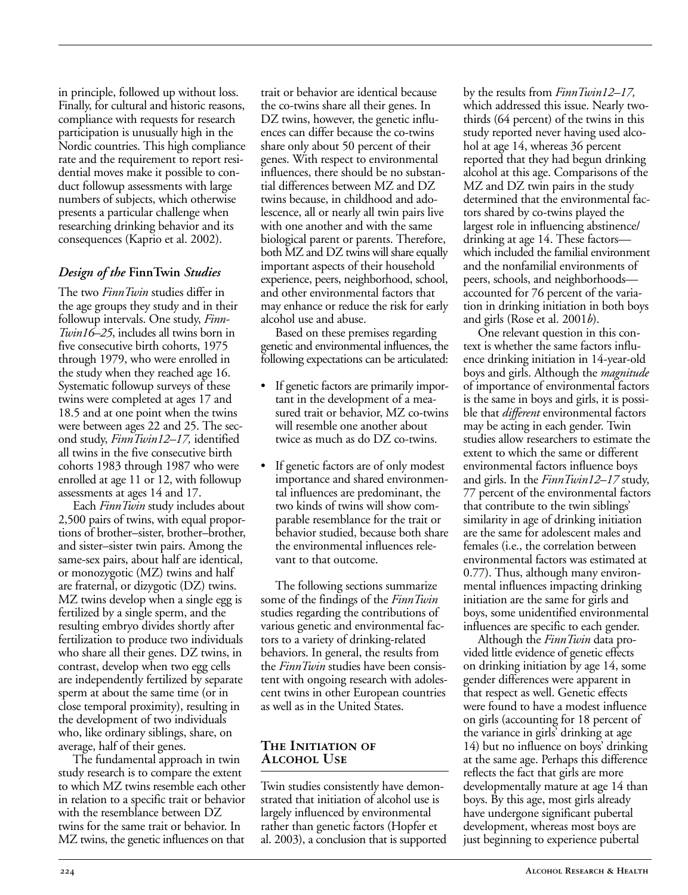in principle, followed up without loss. Finally, for cultural and historic reasons, compliance with requests for research participation is unusually high in the Nordic countries. This high compliance rate and the requirement to report residential moves make it possible to conduct followup assessments with large numbers of subjects, which otherwise presents a particular challenge when researching drinking behavior and its consequences (Kaprio et al. 2002).

## *Design of the* **FinnTwin** *Studies*

The two *FinnTwin* studies differ in the age groups they study and in their followup intervals. One study, *Finn-Twin16–25*, includes all twins born in five consecutive birth cohorts, 1975 through 1979, who were enrolled in the study when they reached age 16. Systematic followup surveys of these twins were completed at ages 17 and 18.5 and at one point when the twins were between ages 22 and 25. The second study, *FinnTwin12–17,* identified all twins in the five consecutive birth cohorts 1983 through 1987 who were enrolled at age 11 or 12, with followup assessments at ages 14 and 17.

Each *FinnTwin* study includes about 2,500 pairs of twins, with equal proportions of brother–sister, brother–brother, and sister–sister twin pairs. Among the same-sex pairs, about half are identical, or monozygotic (MZ) twins and half are fraternal, or dizygotic (DZ) twins. MZ twins develop when a single egg is fertilized by a single sperm, and the resulting embryo divides shortly after fertilization to produce two individuals who share all their genes. DZ twins, in contrast, develop when two egg cells are independently fertilized by separate sperm at about the same time (or in close temporal proximity), resulting in the development of two individuals who, like ordinary siblings, share, on average, half of their genes.

The fundamental approach in twin study research is to compare the extent to which MZ twins resemble each other in relation to a specific trait or behavior with the resemblance between DZ twins for the same trait or behavior. In MZ twins, the genetic influences on that

trait or behavior are identical because the co-twins share all their genes. In DZ twins, however, the genetic influences can differ because the co-twins share only about 50 percent of their genes. With respect to environmental influences, there should be no substantial differences between MZ and DZ twins because, in childhood and adolescence, all or nearly all twin pairs live with one another and with the same biological parent or parents. Therefore, both MZ and DZ twins will share equally important aspects of their household experience, peers, neighborhood, school, and other environmental factors that may enhance or reduce the risk for early alcohol use and abuse.

Based on these premises regarding genetic and environmental influences, the following expectations can be articulated:

- If genetic factors are primarily important in the development of a measured trait or behavior, MZ co-twins will resemble one another about twice as much as do DZ co-twins.
- If genetic factors are of only modest importance and shared environmental influences are predominant, the two kinds of twins will show comparable resemblance for the trait or behavior studied, because both share the environmental influences relevant to that outcome.

The following sections summarize some of the findings of the *FinnTwin* studies regarding the contributions of various genetic and environmental factors to a variety of drinking-related behaviors. In general, the results from the *FinnTwin* studies have been consistent with ongoing research with adolescent twins in other European countries as well as in the United States.

#### **The Initiation of Alcohol Use**

Twin studies consistently have demonstrated that initiation of alcohol use is largely influenced by environmental rather than genetic factors (Hopfer et al. 2003), a conclusion that is supported by the results from *FinnTwin12–17,* which addressed this issue. Nearly twothirds (64 percent) of the twins in this study reported never having used alcohol at age 14, whereas 36 percent reported that they had begun drinking alcohol at this age. Comparisons of the MZ and DZ twin pairs in the study determined that the environmental factors shared by co-twins played the largest role in influencing abstinence/ drinking at age 14. These factors which included the familial environment and the nonfamilial environments of peers, schools, and neighborhoods accounted for 76 percent of the variation in drinking initiation in both boys and girls (Rose et al. 2001*b*).

One relevant question in this context is whether the same factors influence drinking initiation in 14-year-old boys and girls. Although the *magnitude* of importance of environmental factors is the same in boys and girls, it is possible that *different* environmental factors may be acting in each gender. Twin studies allow researchers to estimate the extent to which the same or different environmental factors influence boys and girls. In the *FinnTwin12–17* study, 77 percent of the environmental factors that contribute to the twin siblings' similarity in age of drinking initiation are the same for adolescent males and females (i.e., the correlation between environmental factors was estimated at 0.77). Thus, although many environmental influences impacting drinking initiation are the same for girls and boys, some unidentified environmental influences are specific to each gender.

Although the *FinnTwin* data provided little evidence of genetic effects on drinking initiation by age 14, some gender differences were apparent in that respect as well. Genetic effects were found to have a modest influence on girls (accounting for 18 percent of the variance in girls' drinking at age 14) but no influence on boys' drinking at the same age. Perhaps this difference reflects the fact that girls are more developmentally mature at age 14 than boys. By this age, most girls already have undergone significant pubertal development, whereas most boys are just beginning to experience pubertal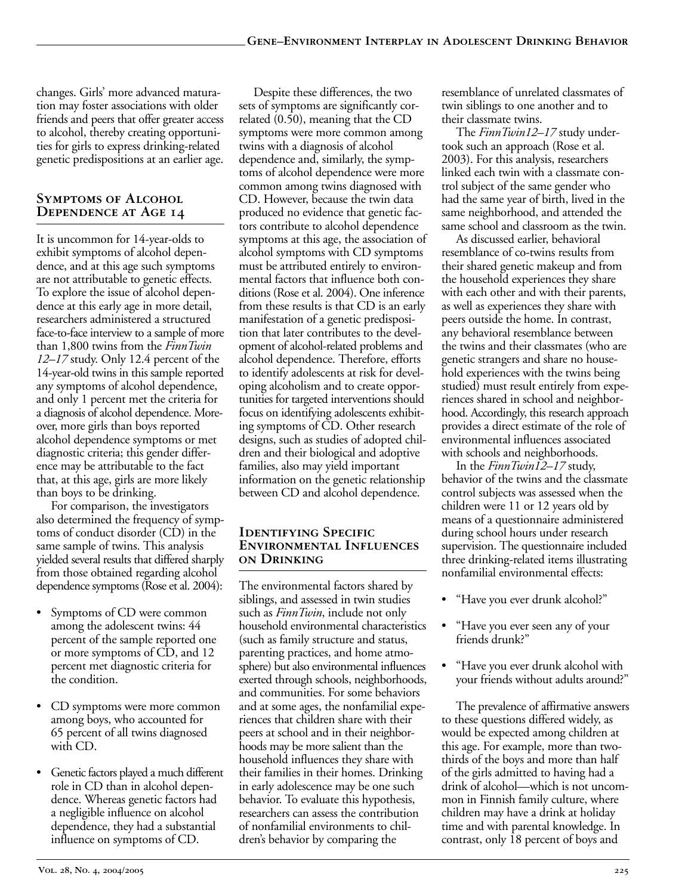changes. Girls' more advanced maturation may foster associations with older friends and peers that offer greater access to alcohol, thereby creating opportunities for girls to express drinking-related genetic predispositions at an earlier age.

## **Symptoms of Alcohol Dependence at Age 14**

It is uncommon for 14-year-olds to exhibit symptoms of alcohol dependence, and at this age such symptoms are not attributable to genetic effects. To explore the issue of alcohol dependence at this early age in more detail, researchers administered a structured face-to-face interview to a sample of more than 1,800 twins from the *FinnTwin 12–17* study. Only 12.4 percent of the 14-year-old twins in this sample reported any symptoms of alcohol dependence, and only 1 percent met the criteria for a diagnosis of alcohol dependence. Moreover, more girls than boys reported alcohol dependence symptoms or met diagnostic criteria; this gender difference may be attributable to the fact that, at this age, girls are more likely than boys to be drinking.

For comparison, the investigators also determined the frequency of symptoms of conduct disorder (CD) in the same sample of twins. This analysis yielded several results that differed sharply from those obtained regarding alcohol dependence symptoms (Rose et al. 2004):

- Symptoms of CD were common among the adolescent twins: 44 percent of the sample reported one or more symptoms of CD, and 12 percent met diagnostic criteria for the condition.
- CD symptoms were more common among boys, who accounted for 65 percent of all twins diagnosed with CD.
- Genetic factors played a much different role in CD than in alcohol dependence. Whereas genetic factors had a negligible influence on alcohol dependence, they had a substantial influence on symptoms of CD.

Despite these differences, the two sets of symptoms are significantly correlated (0.50), meaning that the CD symptoms were more common among twins with a diagnosis of alcohol dependence and, similarly, the symptoms of alcohol dependence were more common among twins diagnosed with CD. However, because the twin data produced no evidence that genetic factors contribute to alcohol dependence symptoms at this age, the association of alcohol symptoms with CD symptoms must be attributed entirely to environmental factors that influence both conditions (Rose et al. 2004). One inference from these results is that CD is an early manifestation of a genetic predisposition that later contributes to the development of alcohol-related problems and alcohol dependence. Therefore, efforts to identify adolescents at risk for developing alcoholism and to create opportunities for targeted interventions should focus on identifying adolescents exhibiting symptoms of CD. Other research designs, such as studies of adopted children and their biological and adoptive families, also may yield important information on the genetic relationship between CD and alcohol dependence.

#### **IDENTIFYING SPECIFIC Environmental Influences on Drinking**

The environmental factors shared by siblings, and assessed in twin studies such as *FinnTwin*, include not only household environmental characteristics (such as family structure and status, parenting practices, and home atmosphere) but also environmental influences exerted through schools, neighborhoods, and communities. For some behaviors and at some ages, the nonfamilial experiences that children share with their peers at school and in their neighborhoods may be more salient than the household influences they share with their families in their homes. Drinking in early adolescence may be one such behavior. To evaluate this hypothesis, researchers can assess the contribution of nonfamilial environments to children's behavior by comparing the

resemblance of unrelated classmates of twin siblings to one another and to their classmate twins.

The *FinnTwin12–17* study undertook such an approach (Rose et al. 2003). For this analysis, researchers linked each twin with a classmate control subject of the same gender who had the same year of birth, lived in the same neighborhood, and attended the same school and classroom as the twin.

As discussed earlier, behavioral resemblance of co-twins results from their shared genetic makeup and from the household experiences they share with each other and with their parents, as well as experiences they share with peers outside the home. In contrast, any behavioral resemblance between the twins and their classmates (who are genetic strangers and share no household experiences with the twins being studied) must result entirely from experiences shared in school and neighborhood. Accordingly, this research approach provides a direct estimate of the role of environmental influences associated with schools and neighborhoods.

In the *FinnTwin12–17* study, behavior of the twins and the classmate control subjects was assessed when the children were 11 or 12 years old by means of a questionnaire administered during school hours under research supervision. The questionnaire included three drinking-related items illustrating nonfamilial environmental effects:

- "Have you ever drunk alcohol?"
- "Have you ever seen any of your friends drunk?"
- "Have you ever drunk alcohol with your friends without adults around?"

The prevalence of affirmative answers to these questions differed widely, as would be expected among children at this age. For example, more than twothirds of the boys and more than half of the girls admitted to having had a drink of alcohol—which is not uncommon in Finnish family culture, where children may have a drink at holiday time and with parental knowledge. In contrast, only 18 percent of boys and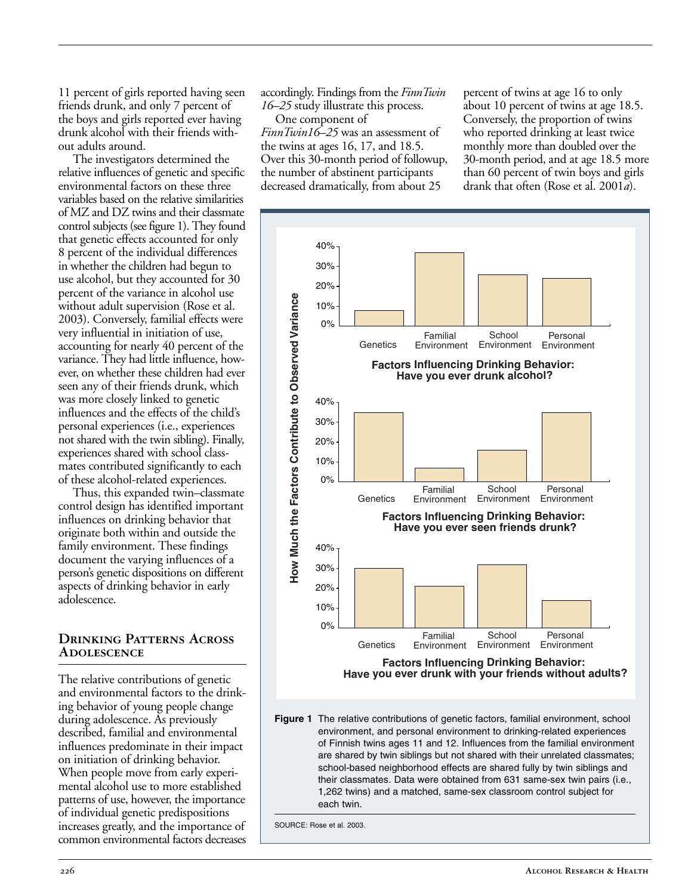11 percent of girls reported having seen friends drunk, and only 7 percent of the boys and girls reported ever having drunk alcohol with their friends without adults around.

The investigators determined the relative influences of genetic and specific environmental factors on these three variables based on the relative similarities of MZ and DZ twins and their classmate control subjects (see figure 1). They found that genetic effects accounted for only 8 percent of the individual differences in whether the children had begun to use alcohol, but they accounted for 30 percent of the variance in alcohol use without adult supervision (Rose et al. 2003). Conversely, familial effects were very influential in initiation of use, accounting for nearly 40 percent of the variance. They had little influence, however, on whether these children had ever seen any of their friends drunk, which was more closely linked to genetic influences and the effects of the child's personal experiences (i.e., experiences not shared with the twin sibling). Finally, experiences shared with school classmates contributed significantly to each of these alcohol-related experiences.

Thus, this expanded twin–classmate control design has identified important influences on drinking behavior that originate both within and outside the family environment. These findings document the varying influences of a person's genetic dispositions on different aspects of drinking behavior in early adolescence.

#### **Drinking Patterns Across Adolescence**

The relative contributions of genetic and environmental factors to the drinking behavior of young people change during adolescence. As previously described, familial and environmental influences predominate in their impact on initiation of drinking behavior. When people move from early experimental alcohol use to more established patterns of use, however, the importance of individual genetic predispositions increases greatly, and the importance of common environmental factors decreases accordingly. Findings from the *FinnTwin 16–25* study illustrate this process.

One component of *FinnTwin16–25* was an assessment of the twins at ages 16, 17, and 18.5. Over this 30-month period of followup, the number of abstinent participants decreased dramatically, from about 25

percent of twins at age 16 to only about 10 percent of twins at age 18.5. Conversely, the proportion of twins who reported drinking at least twice monthly more than doubled over the 30-month period, and at age 18.5 more than 60 percent of twin boys and girls drank that often (Rose et al. 2001*a*).



1,262 twins) and a matched, same-sex classroom control subject for

SOURCE: Rose et al. 2003.

each twin.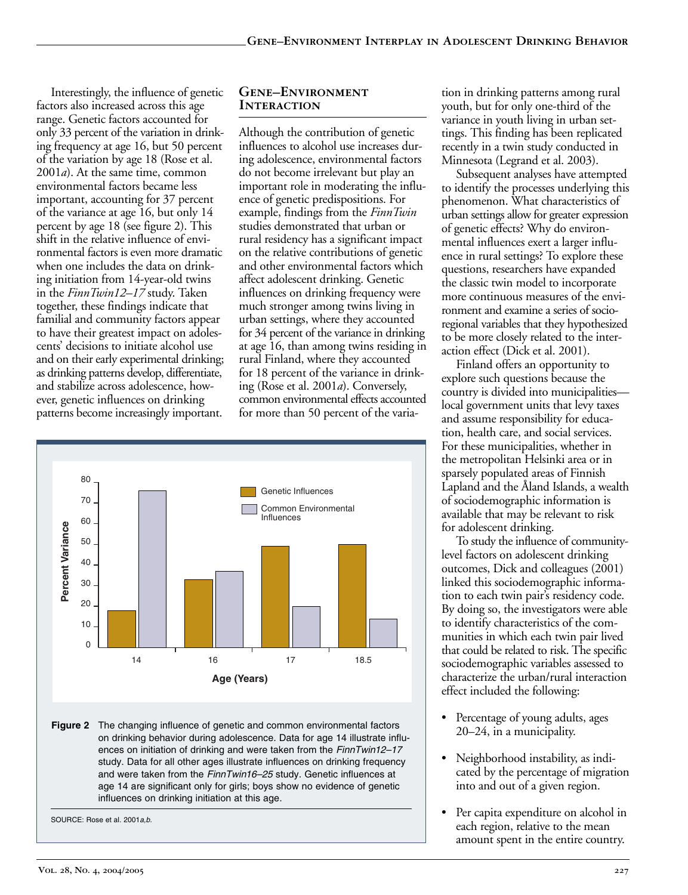Interestingly, the influence of genetic factors also increased across this age range. Genetic factors accounted for only 33 percent of the variation in drinking frequency at age 16, but 50 percent of the variation by age 18 (Rose et al. 2001*a*). At the same time, common environmental factors became less important, accounting for 37 percent of the variance at age 16, but only 14 percent by age 18 (see figure 2). This shift in the relative influence of environmental factors is even more dramatic when one includes the data on drinking initiation from 14-year-old twins in the *FinnTwin12–17* study. Taken together, these findings indicate that familial and community factors appear to have their greatest impact on adolescents' decisions to initiate alcohol use and on their early experimental drinking; as drinking patterns develop, differentiate, and stabilize across adolescence, however, genetic influences on drinking patterns become increasingly important.

#### **Gene–Environment Interaction**

Although the contribution of genetic influences to alcohol use increases during adolescence, environmental factors do not become irrelevant but play an important role in moderating the influence of genetic predispositions. For example, findings from the *FinnTwin* studies demonstrated that urban or rural residency has a significant impact on the relative contributions of genetic and other environmental factors which affect adolescent drinking. Genetic influences on drinking frequency were much stronger among twins living in urban settings, where they accounted for 34 percent of the variance in drinking at age 16, than among twins residing in rural Finland, where they accounted for 18 percent of the variance in drinking (Rose et al. 2001*a*). Conversely, common environmental effects accounted for more than 50 percent of the varia-



**Figure 2** The changing influence of genetic and common environmental factors on drinking behavior during adolescence. Data for age 14 illustrate influences on initiation of drinking and were taken from the FinnTwin12-17 study. Data for all other ages illustrate influences on drinking frequency and were taken from the FinnTwin16-25 study. Genetic influences at age 14 are significant only for girls; boys show no evidence of genetic influences on drinking initiation at this age.

SOURCE: Rose et al. 2001 a.b.

tion in drinking patterns among rural youth, but for only one-third of the variance in youth living in urban settings. This finding has been replicated recently in a twin study conducted in Minnesota (Legrand et al. 2003).

Subsequent analyses have attempted to identify the processes underlying this phenomenon. What characteristics of urban settings allow for greater expression of genetic effects? Why do environmental influences exert a larger influence in rural settings? To explore these questions, researchers have expanded the classic twin model to incorporate more continuous measures of the environment and examine a series of socioregional variables that they hypothesized to be more closely related to the interaction effect (Dick et al. 2001).

Finland offers an opportunity to explore such questions because the country is divided into municipalities local government units that levy taxes and assume responsibility for education, health care, and social services. For these municipalities, whether in the metropolitan Helsinki area or in sparsely populated areas of Finnish Lapland and the Åland Islands, a wealth of sociodemographic information is available that may be relevant to risk for adolescent drinking.

To study the influence of communitylevel factors on adolescent drinking outcomes, Dick and colleagues (2001) linked this sociodemographic information to each twin pair's residency code. By doing so, the investigators were able to identify characteristics of the communities in which each twin pair lived that could be related to risk. The specific sociodemographic variables assessed to characterize the urban/rural interaction effect included the following:

- Percentage of young adults, ages 20–24, in a municipality.
- Neighborhood instability, as indicated by the percentage of migration into and out of a given region.
- Per capita expenditure on alcohol in each region, relative to the mean amount spent in the entire country.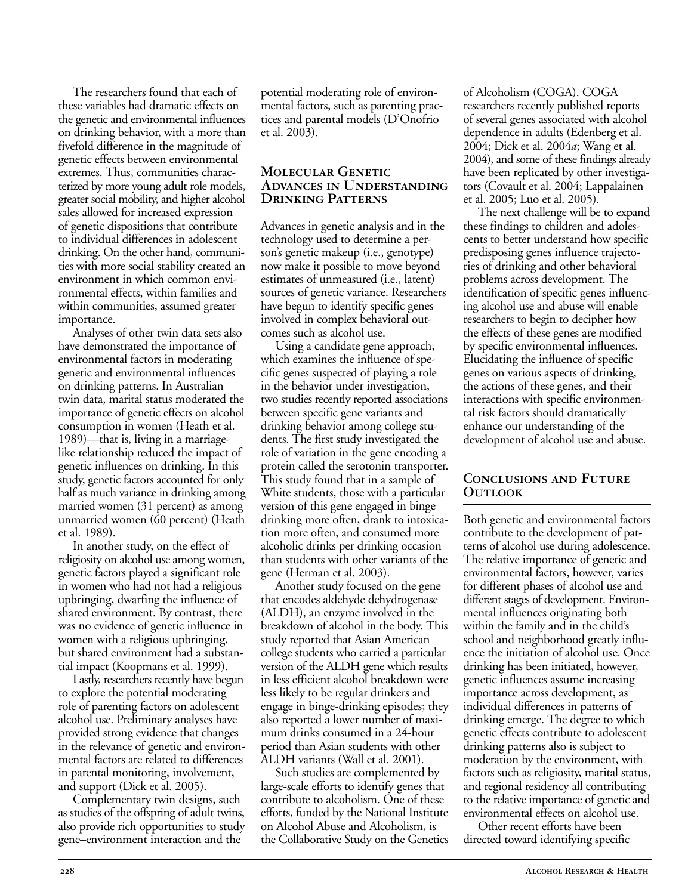The researchers found that each of these variables had dramatic effects on the genetic and environmental influences on drinking behavior, with a more than fivefold difference in the magnitude of genetic effects between environmental extremes. Thus, communities characterized by more young adult role models, greater social mobility, and higher alcohol sales allowed for increased expression of genetic dispositions that contribute to individual differences in adolescent drinking. On the other hand, communities with more social stability created an environment in which common environmental effects, within families and within communities, assumed greater importance.

Analyses of other twin data sets also have demonstrated the importance of environmental factors in moderating genetic and environmental influences on drinking patterns. In Australian twin data, marital status moderated the importance of genetic effects on alcohol consumption in women (Heath et al. 1989)—that is, living in a marriagelike relationship reduced the impact of genetic influences on drinking. In this study, genetic factors accounted for only half as much variance in drinking among married women (31 percent) as among unmarried women (60 percent) (Heath et al. 1989).

In another study, on the effect of religiosity on alcohol use among women, genetic factors played a significant role in women who had not had a religious upbringing, dwarfing the influence of shared environment. By contrast, there was no evidence of genetic influence in women with a religious upbringing, but shared environment had a substantial impact (Koopmans et al. 1999).

Lastly, researchers recently have begun to explore the potential moderating role of parenting factors on adolescent alcohol use. Preliminary analyses have provided strong evidence that changes in the relevance of genetic and environmental factors are related to differences in parental monitoring, involvement, and support (Dick et al. 2005).

Complementary twin designs, such as studies of the offspring of adult twins, also provide rich opportunities to study gene–environment interaction and the

potential moderating role of environmental factors, such as parenting practices and parental models (D'Onofrio et al. 2003).

#### **Molecular Genetic Advances in Understanding Drinking Patterns**

Advances in genetic analysis and in the technology used to determine a person's genetic makeup (i.e., genotype) now make it possible to move beyond estimates of unmeasured (i.e., latent) sources of genetic variance. Researchers have begun to identify specific genes involved in complex behavioral outcomes such as alcohol use.

Using a candidate gene approach, which examines the influence of specific genes suspected of playing a role in the behavior under investigation, two studies recently reported associations between specific gene variants and drinking behavior among college students. The first study investigated the role of variation in the gene encoding a protein called the serotonin transporter. This study found that in a sample of White students, those with a particular version of this gene engaged in binge drinking more often, drank to intoxication more often, and consumed more alcoholic drinks per drinking occasion than students with other variants of the gene (Herman et al. 2003).

Another study focused on the gene that encodes aldehyde dehydrogenase (ALDH), an enzyme involved in the breakdown of alcohol in the body. This study reported that Asian American college students who carried a particular version of the ALDH gene which results in less efficient alcohol breakdown were less likely to be regular drinkers and engage in binge-drinking episodes; they also reported a lower number of maximum drinks consumed in a 24-hour period than Asian students with other ALDH variants (Wall et al. 2001).

Such studies are complemented by large-scale efforts to identify genes that contribute to alcoholism. One of these efforts, funded by the National Institute on Alcohol Abuse and Alcoholism, is the Collaborative Study on the Genetics of Alcoholism (COGA). COGA researchers recently published reports of several genes associated with alcohol dependence in adults (Edenberg et al. 2004; Dick et al. 2004*a*; Wang et al. 2004), and some of these findings already have been replicated by other investigators (Covault et al. 2004; Lappalainen et al. 2005; Luo et al. 2005).

The next challenge will be to expand these findings to children and adolescents to better understand how specific predisposing genes influence trajectories of drinking and other behavioral problems across development. The identification of specific genes influencing alcohol use and abuse will enable researchers to begin to decipher how the effects of these genes are modified by specific environmental influences. Elucidating the influence of specific genes on various aspects of drinking, the actions of these genes, and their interactions with specific environmental risk factors should dramatically enhance our understanding of the development of alcohol use and abuse.

#### **Conclusions and Future Outlook**

Both genetic and environmental factors contribute to the development of patterns of alcohol use during adolescence. The relative importance of genetic and environmental factors, however, varies for different phases of alcohol use and different stages of development. Environmental influences originating both within the family and in the child's school and neighborhood greatly influence the initiation of alcohol use. Once drinking has been initiated, however, genetic influences assume increasing importance across development, as individual differences in patterns of drinking emerge. The degree to which genetic effects contribute to adolescent drinking patterns also is subject to moderation by the environment, with factors such as religiosity, marital status, and regional residency all contributing to the relative importance of genetic and environmental effects on alcohol use.

Other recent efforts have been directed toward identifying specific